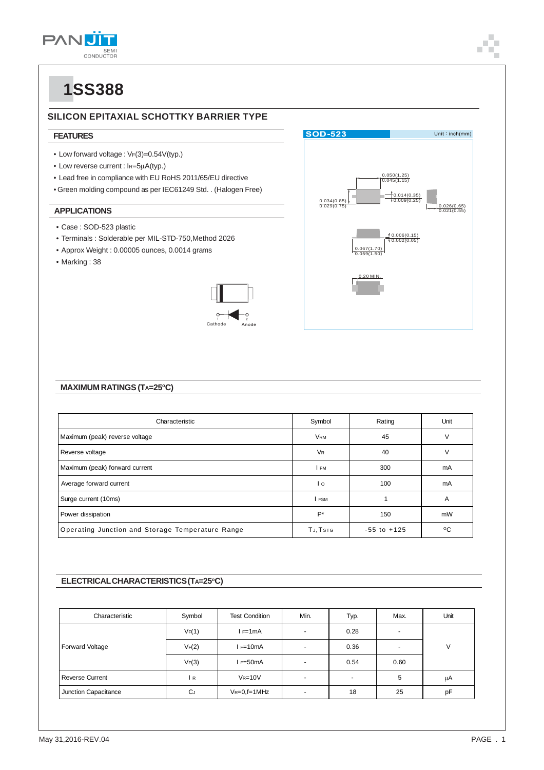

#### **SILICON EPITAXIAL SCHOTTKY BARRIER TYPE**

#### **FEATURES**

- Low forward voltage : VF(3)=0.54V(typ.)
- Low reverse current : IR=5μA(typ.)
- Lead free in compliance with EU RoHS 2011/65/EU directive
- Green molding compound as per IEC61249 Std. . (Halogen Free)

#### **APPLICATIONS**

- Case : SOD-523 plastic
- Terminals : Solderable per MIL-STD-750,Method 2026
- Approx Weight : 0.00005 ounces, 0.0014 grams
- Marking : 38





#### **MAXIMUM RATINGS (TA=25°C)**

| Characteristic                                   | Symbol               | Rating          | Unit         |
|--------------------------------------------------|----------------------|-----------------|--------------|
| Maximum (peak) reverse voltage                   | VRM                  | 45              | v            |
| Reverse voltage                                  | <b>V<sub>R</sub></b> | 40              | V            |
| Maximum (peak) forward current                   | I FM                 | 300             | mA           |
| Average forward current                          | $\overline{1}$       | 100             | mA           |
| Surge current (10ms)                             | I FSM                |                 | A            |
| Power dissipation                                | $P^*$                | 150             | mW           |
| Operating Junction and Storage Temperature Range | TJ, TSTG             | $-55$ to $+125$ | $^{\circ}$ C |

#### **ELECTRICAL CHARACTERISTICS (TA=25°C)**

| Characteristic       | Symbol    | <b>Test Condition</b> | Min.                     | Typ.           | Max. | Unit |  |
|----------------------|-----------|-----------------------|--------------------------|----------------|------|------|--|
| Forward Voltage      | VF(1)     | F=1mA                 | $\overline{a}$           | 0.28           | н.   |      |  |
|                      | VF(2)     | $I = 10mA$            | $\overline{\phantom{a}}$ | 0.36           |      | V    |  |
|                      | VF(3)     | I F=50mA              | $\blacksquare$           | 0.54           | 0.60 |      |  |
| Reverse Current      | l R       | $V_R = 10V$           | ۰                        | $\blacksquare$ | 5    | μA   |  |
| Junction Capacitance | <b>CJ</b> | $V_{R=0,f=1MHz}$      | $\sim$                   | 18             | 25   | pF   |  |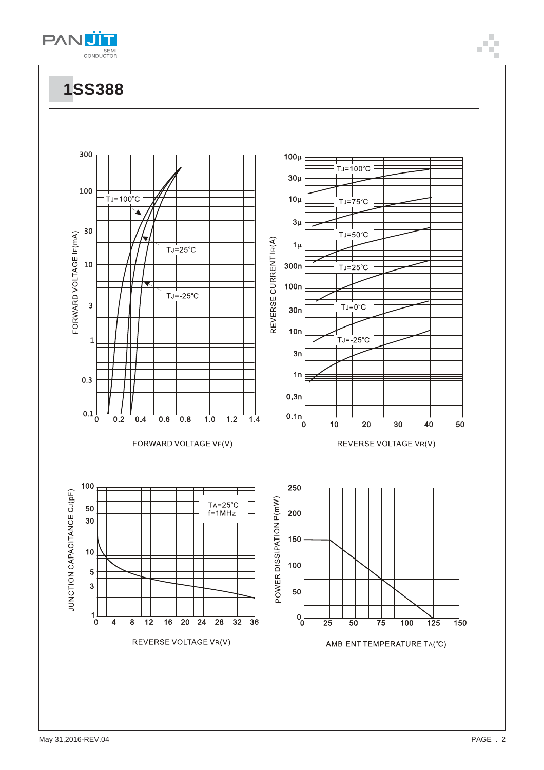

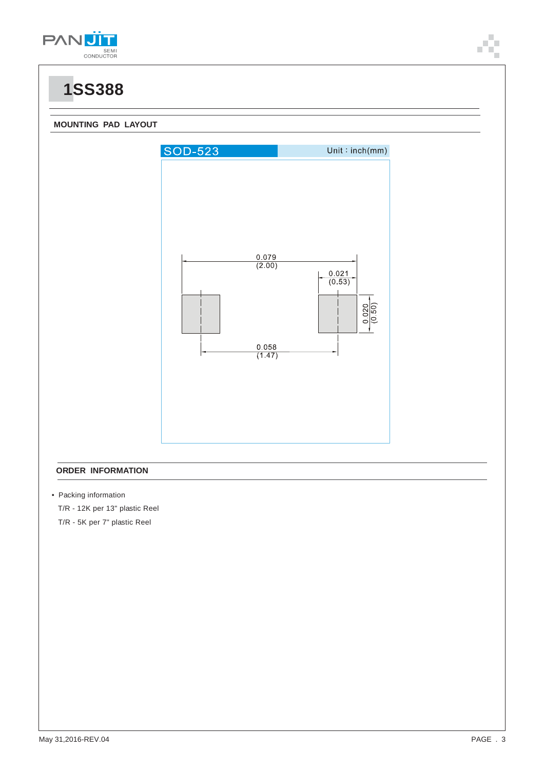



#### **ORDER INFORMATION**

• Packing information

 T/R - 12K per 13" plastic Reel T/R - 5K per 7" plastic Reel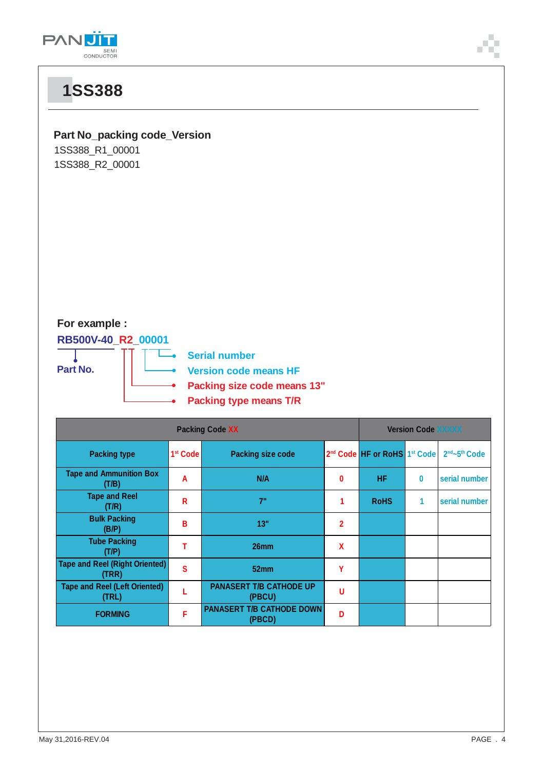

### **Part No\_packing code\_Version**

1SS388\_R1\_00001 1SS388\_R2\_00001

### **For example :**

**RB500V-40\_R2\_00001**

**Part No.**

Ľ. **Serial number**

**Version code means HF**

- **Packing size code means 13"**
- **Packing type means T/R**

| <b>Packing Code XX</b>                         |                      |                                            | <b>Version Code XXXXX</b> |                                                      |          |                                       |
|------------------------------------------------|----------------------|--------------------------------------------|---------------------------|------------------------------------------------------|----------|---------------------------------------|
| <b>Packing type</b>                            | 1 <sup>st</sup> Code | <b>Packing size code</b>                   |                           | 2 <sup>nd</sup> Code HF or RoHS 1 <sup>st</sup> Code |          | 2 <sup>nd</sup> ~5 <sup>th</sup> Code |
| <b>Tape and Ammunition Box</b><br>(T/B)        | A                    | N/A                                        | $\bf{0}$                  | HF                                                   | $\bf{0}$ | serial number                         |
| <b>Tape and Reel</b><br>(T/R)                  | R                    | 7"                                         |                           | <b>RoHS</b>                                          | 1        | serial number                         |
| <b>Bulk Packing</b><br>(B/P)                   | В                    | 13"                                        | $\overline{2}$            |                                                      |          |                                       |
| <b>Tube Packing</b><br>(T/P)                   |                      | 26mm                                       | X                         |                                                      |          |                                       |
| <b>Tape and Reel (Right Oriented)</b><br>(TRR) | S                    | 52mm                                       | γ                         |                                                      |          |                                       |
| <b>Tape and Reel (Left Oriented)</b><br>(TRL)  |                      | <b>PANASERT T/B CATHODE UP</b><br>(PBCU)   | U                         |                                                      |          |                                       |
| <b>FORMING</b>                                 | F                    | <b>PANASERT T/B CATHODE DOWN</b><br>(PBCD) | n                         |                                                      |          |                                       |